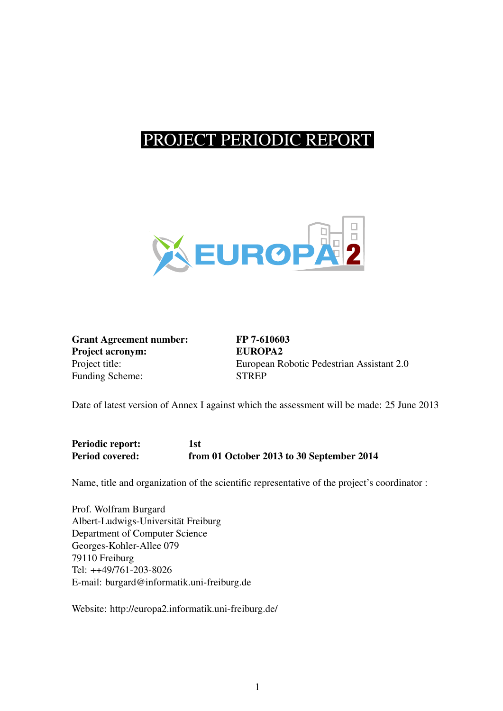# PROJECT PERIODIC REPORT



Grant Agreement number: FP 7-610603 Project acronym: EUROPA2 Funding Scheme: STREP

Project title: European Robotic Pedestrian Assistant 2.0

Date of latest version of Annex I against which the assessment will be made: 25 June 2013

Periodic report: 1st Period covered: from 01 October 2013 to 30 September 2014

Name, title and organization of the scientific representative of the project's coordinator :

Prof. Wolfram Burgard Albert-Ludwigs-Universität Freiburg Department of Computer Science Georges-Kohler-Allee 079 79110 Freiburg Tel: ++49/761-203-8026 E-mail: burgard@informatik.uni-freiburg.de

Website: http://europa2.informatik.uni-freiburg.de/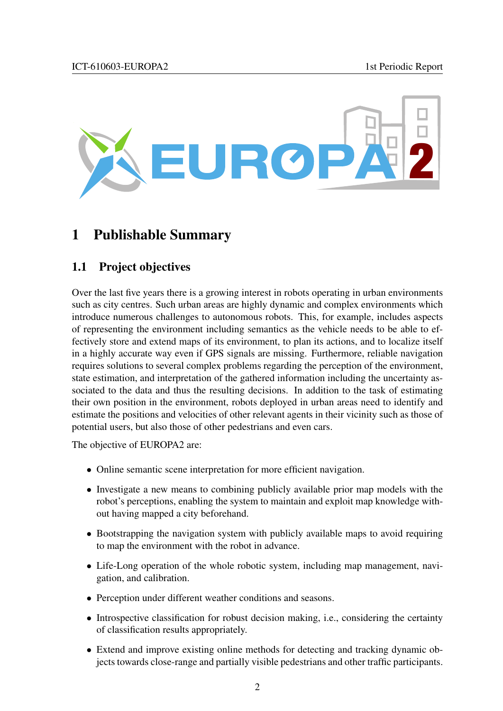

## 1 Publishable Summary

#### 1.1 Project objectives

Over the last five years there is a growing interest in robots operating in urban environments such as city centres. Such urban areas are highly dynamic and complex environments which introduce numerous challenges to autonomous robots. This, for example, includes aspects of representing the environment including semantics as the vehicle needs to be able to effectively store and extend maps of its environment, to plan its actions, and to localize itself in a highly accurate way even if GPS signals are missing. Furthermore, reliable navigation requires solutions to several complex problems regarding the perception of the environment, state estimation, and interpretation of the gathered information including the uncertainty associated to the data and thus the resulting decisions. In addition to the task of estimating their own position in the environment, robots deployed in urban areas need to identify and estimate the positions and velocities of other relevant agents in their vicinity such as those of potential users, but also those of other pedestrians and even cars.

The objective of EUROPA2 are:

- Online semantic scene interpretation for more efficient navigation.
- Investigate a new means to combining publicly available prior map models with the robot's perceptions, enabling the system to maintain and exploit map knowledge without having mapped a city beforehand.
- Bootstrapping the navigation system with publicly available maps to avoid requiring to map the environment with the robot in advance.
- Life-Long operation of the whole robotic system, including map management, navigation, and calibration.
- Perception under different weather conditions and seasons.
- Introspective classification for robust decision making, i.e., considering the certainty of classification results appropriately.
- Extend and improve existing online methods for detecting and tracking dynamic objects towards close-range and partially visible pedestrians and other traffic participants.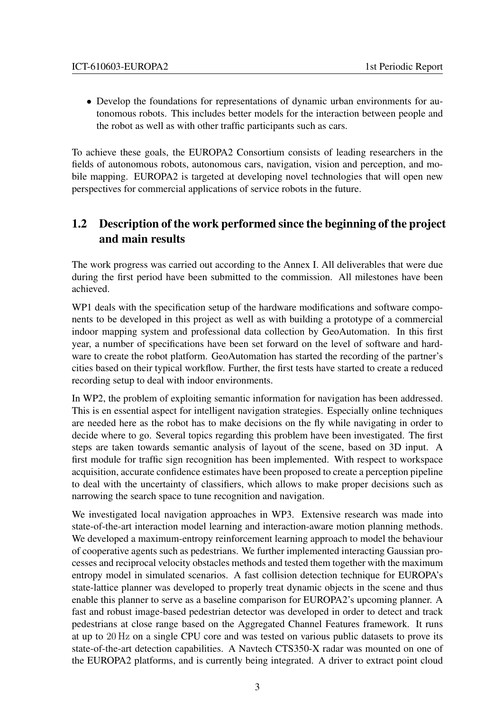• Develop the foundations for representations of dynamic urban environments for autonomous robots. This includes better models for the interaction between people and the robot as well as with other traffic participants such as cars.

To achieve these goals, the EUROPA2 Consortium consists of leading researchers in the fields of autonomous robots, autonomous cars, navigation, vision and perception, and mobile mapping. EUROPA2 is targeted at developing novel technologies that will open new perspectives for commercial applications of service robots in the future.

### 1.2 Description of the work performed since the beginning of the project and main results

The work progress was carried out according to the Annex I. All deliverables that were due during the first period have been submitted to the commission. All milestones have been achieved.

WP1 deals with the specification setup of the hardware modifications and software components to be developed in this project as well as with building a prototype of a commercial indoor mapping system and professional data collection by GeoAutomation. In this first year, a number of specifications have been set forward on the level of software and hardware to create the robot platform. GeoAutomation has started the recording of the partner's cities based on their typical workflow. Further, the first tests have started to create a reduced recording setup to deal with indoor environments.

In WP2, the problem of exploiting semantic information for navigation has been addressed. This is en essential aspect for intelligent navigation strategies. Especially online techniques are needed here as the robot has to make decisions on the fly while navigating in order to decide where to go. Several topics regarding this problem have been investigated. The first steps are taken towards semantic analysis of layout of the scene, based on 3D input. A first module for traffic sign recognition has been implemented. With respect to workspace acquisition, accurate confidence estimates have been proposed to create a perception pipeline to deal with the uncertainty of classifiers, which allows to make proper decisions such as narrowing the search space to tune recognition and navigation.

We investigated local navigation approaches in WP3. Extensive research was made into state-of-the-art interaction model learning and interaction-aware motion planning methods. We developed a maximum-entropy reinforcement learning approach to model the behaviour of cooperative agents such as pedestrians. We further implemented interacting Gaussian processes and reciprocal velocity obstacles methods and tested them together with the maximum entropy model in simulated scenarios. A fast collision detection technique for EUROPA's state-lattice planner was developed to properly treat dynamic objects in the scene and thus enable this planner to serve as a baseline comparison for EUROPA2's upcoming planner. A fast and robust image-based pedestrian detector was developed in order to detect and track pedestrians at close range based on the Aggregated Channel Features framework. It runs at up to 20 Hz on a single CPU core and was tested on various public datasets to prove its state-of-the-art detection capabilities. A Navtech CTS350-X radar was mounted on one of the EUROPA2 platforms, and is currently being integrated. A driver to extract point cloud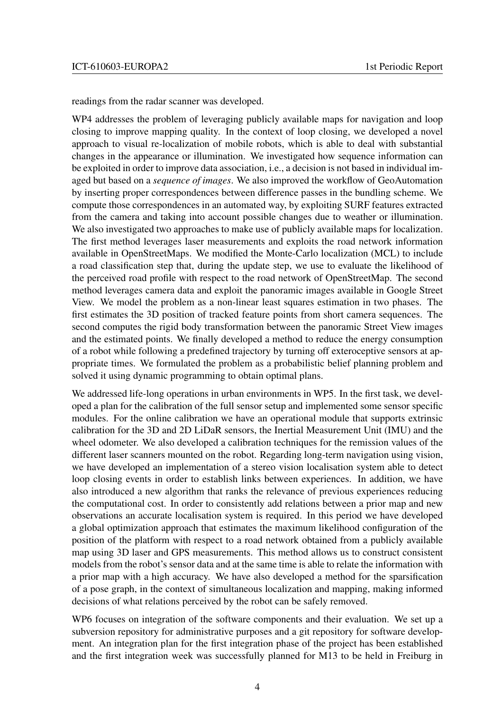readings from the radar scanner was developed.

WP4 addresses the problem of leveraging publicly available maps for navigation and loop closing to improve mapping quality. In the context of loop closing, we developed a novel approach to visual re-localization of mobile robots, which is able to deal with substantial changes in the appearance or illumination. We investigated how sequence information can be exploited in order to improve data association, i.e., a decision is not based in individual imaged but based on a *sequence of images*. We also improved the workflow of GeoAutomation by inserting proper correspondences between difference passes in the bundling scheme. We compute those correspondences in an automated way, by exploiting SURF features extracted from the camera and taking into account possible changes due to weather or illumination. We also investigated two approaches to make use of publicly available maps for localization. The first method leverages laser measurements and exploits the road network information available in OpenStreetMaps. We modified the Monte-Carlo localization (MCL) to include a road classification step that, during the update step, we use to evaluate the likelihood of the perceived road profile with respect to the road network of OpenStreetMap. The second method leverages camera data and exploit the panoramic images available in Google Street View. We model the problem as a non-linear least squares estimation in two phases. The first estimates the 3D position of tracked feature points from short camera sequences. The second computes the rigid body transformation between the panoramic Street View images and the estimated points. We finally developed a method to reduce the energy consumption of a robot while following a predefined trajectory by turning off exteroceptive sensors at appropriate times. We formulated the problem as a probabilistic belief planning problem and solved it using dynamic programming to obtain optimal plans.

We addressed life-long operations in urban environments in WP5. In the first task, we developed a plan for the calibration of the full sensor setup and implemented some sensor specific modules. For the online calibration we have an operational module that supports extrinsic calibration for the 3D and 2D LiDaR sensors, the Inertial Measurement Unit (IMU) and the wheel odometer. We also developed a calibration techniques for the remission values of the different laser scanners mounted on the robot. Regarding long-term navigation using vision, we have developed an implementation of a stereo vision localisation system able to detect loop closing events in order to establish links between experiences. In addition, we have also introduced a new algorithm that ranks the relevance of previous experiences reducing the computational cost. In order to consistently add relations between a prior map and new observations an accurate localisation system is required. In this period we have developed a global optimization approach that estimates the maximum likelihood configuration of the position of the platform with respect to a road network obtained from a publicly available map using 3D laser and GPS measurements. This method allows us to construct consistent models from the robot's sensor data and at the same time is able to relate the information with a prior map with a high accuracy. We have also developed a method for the sparsification of a pose graph, in the context of simultaneous localization and mapping, making informed decisions of what relations perceived by the robot can be safely removed.

WP6 focuses on integration of the software components and their evaluation. We set up a subversion repository for administrative purposes and a git repository for software development. An integration plan for the first integration phase of the project has been established and the first integration week was successfully planned for M13 to be held in Freiburg in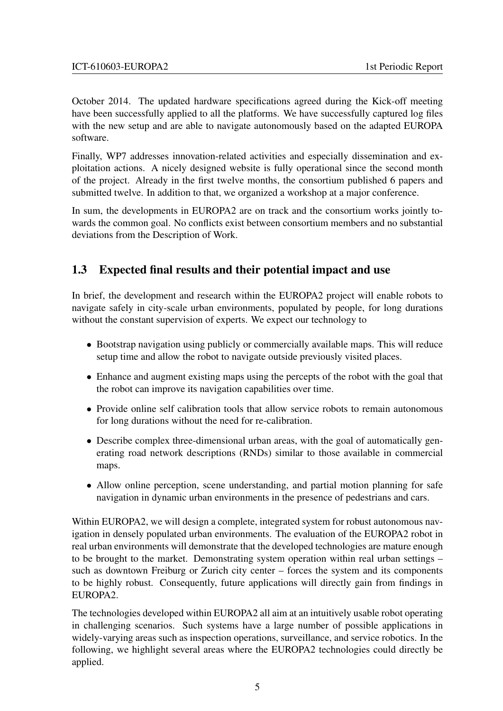October 2014. The updated hardware specifications agreed during the Kick-off meeting have been successfully applied to all the platforms. We have successfully captured log files with the new setup and are able to navigate autonomously based on the adapted EUROPA software.

Finally, WP7 addresses innovation-related activities and especially dissemination and exploitation actions. A nicely designed website is fully operational since the second month of the project. Already in the first twelve months, the consortium published 6 papers and submitted twelve. In addition to that, we organized a workshop at a major conference.

In sum, the developments in EUROPA2 are on track and the consortium works jointly towards the common goal. No conflicts exist between consortium members and no substantial deviations from the Description of Work.

#### 1.3 Expected final results and their potential impact and use

In brief, the development and research within the EUROPA2 project will enable robots to navigate safely in city-scale urban environments, populated by people, for long durations without the constant supervision of experts. We expect our technology to

- Bootstrap navigation using publicly or commercially available maps. This will reduce setup time and allow the robot to navigate outside previously visited places.
- Enhance and augment existing maps using the percepts of the robot with the goal that the robot can improve its navigation capabilities over time.
- Provide online self calibration tools that allow service robots to remain autonomous for long durations without the need for re-calibration.
- Describe complex three-dimensional urban areas, with the goal of automatically generating road network descriptions (RNDs) similar to those available in commercial maps.
- Allow online perception, scene understanding, and partial motion planning for safe navigation in dynamic urban environments in the presence of pedestrians and cars.

Within EUROPA2, we will design a complete, integrated system for robust autonomous navigation in densely populated urban environments. The evaluation of the EUROPA2 robot in real urban environments will demonstrate that the developed technologies are mature enough to be brought to the market. Demonstrating system operation within real urban settings – such as downtown Freiburg or Zurich city center – forces the system and its components to be highly robust. Consequently, future applications will directly gain from findings in EUROPA2.

The technologies developed within EUROPA2 all aim at an intuitively usable robot operating in challenging scenarios. Such systems have a large number of possible applications in widely-varying areas such as inspection operations, surveillance, and service robotics. In the following, we highlight several areas where the EUROPA2 technologies could directly be applied.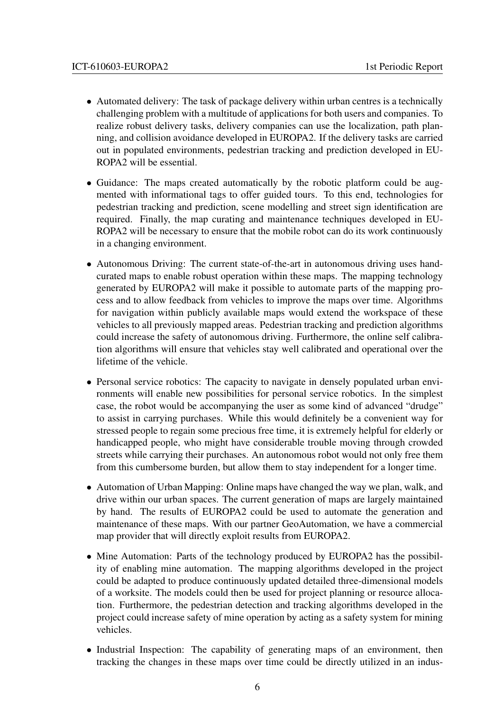- Automated delivery: The task of package delivery within urban centres is a technically challenging problem with a multitude of applications for both users and companies. To realize robust delivery tasks, delivery companies can use the localization, path planning, and collision avoidance developed in EUROPA2. If the delivery tasks are carried out in populated environments, pedestrian tracking and prediction developed in EU-ROPA2 will be essential.
- Guidance: The maps created automatically by the robotic platform could be augmented with informational tags to offer guided tours. To this end, technologies for pedestrian tracking and prediction, scene modelling and street sign identification are required. Finally, the map curating and maintenance techniques developed in EU-ROPA2 will be necessary to ensure that the mobile robot can do its work continuously in a changing environment.
- Autonomous Driving: The current state-of-the-art in autonomous driving uses handcurated maps to enable robust operation within these maps. The mapping technology generated by EUROPA2 will make it possible to automate parts of the mapping process and to allow feedback from vehicles to improve the maps over time. Algorithms for navigation within publicly available maps would extend the workspace of these vehicles to all previously mapped areas. Pedestrian tracking and prediction algorithms could increase the safety of autonomous driving. Furthermore, the online self calibration algorithms will ensure that vehicles stay well calibrated and operational over the lifetime of the vehicle.
- Personal service robotics: The capacity to navigate in densely populated urban environments will enable new possibilities for personal service robotics. In the simplest case, the robot would be accompanying the user as some kind of advanced "drudge" to assist in carrying purchases. While this would definitely be a convenient way for stressed people to regain some precious free time, it is extremely helpful for elderly or handicapped people, who might have considerable trouble moving through crowded streets while carrying their purchases. An autonomous robot would not only free them from this cumbersome burden, but allow them to stay independent for a longer time.
- Automation of Urban Mapping: Online maps have changed the way we plan, walk, and drive within our urban spaces. The current generation of maps are largely maintained by hand. The results of EUROPA2 could be used to automate the generation and maintenance of these maps. With our partner GeoAutomation, we have a commercial map provider that will directly exploit results from EUROPA2.
- Mine Automation: Parts of the technology produced by EUROPA2 has the possibility of enabling mine automation. The mapping algorithms developed in the project could be adapted to produce continuously updated detailed three-dimensional models of a worksite. The models could then be used for project planning or resource allocation. Furthermore, the pedestrian detection and tracking algorithms developed in the project could increase safety of mine operation by acting as a safety system for mining vehicles.
- Industrial Inspection: The capability of generating maps of an environment, then tracking the changes in these maps over time could be directly utilized in an indus-